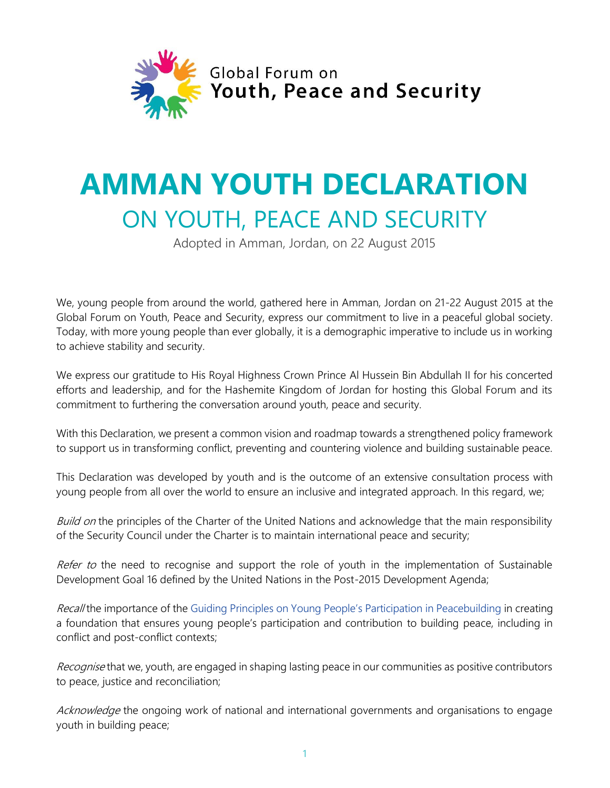

## **AMMAN YOUTH DECLARATION** ON YOUTH, PEACE AND SECURITY

Adopted in Amman, Jordan, on 22 August 2015

We, young people from around the world, gathered here in Amman, Jordan on 21-22 August 2015 at the Global Forum on Youth, Peace and Security, express our commitment to live in a peaceful global society. Today, with more young people than ever globally, it is a demographic imperative to include us in working to achieve stability and security.

We express our gratitude to His Royal Highness Crown Prince Al Hussein Bin Abdullah II for his concerted efforts and leadership, and for the Hashemite Kingdom of Jordan for hosting this Global Forum and its commitment to furthering the conversation around youth, peace and security.

With this Declaration, we present a common vision and roadmap towards a strengthened policy framework to support us in transforming conflict, preventing and countering violence and building sustainable peace.

This Declaration was developed by youth and is the outcome of an extensive consultation process with young people from all over the world to ensure an inclusive and integrated approach. In this regard, we;

Build on the principles of the Charter of the United Nations and acknowledge that the main responsibility of the Security Council under the Charter is to maintain international peace and security;

Refer to the need to recognise and support the role of youth in the implementation of Sustainable Development Goal 16 defined by the United Nations in the Post-2015 Development Agenda;

Recall the importance of the [Guiding Principles on Young People's Participation in Peacebuilding](https://www.unteamworks.org/file/517084/download/564381) in creating a foundation that ensures young people's participation and contribution to building peace, including in conflict and post-conflict contexts;

Recognise that we, youth, are engaged in shaping lasting peace in our communities as positive contributors to peace, justice and reconciliation;

Acknowledge the ongoing work of national and international governments and organisations to engage youth in building peace;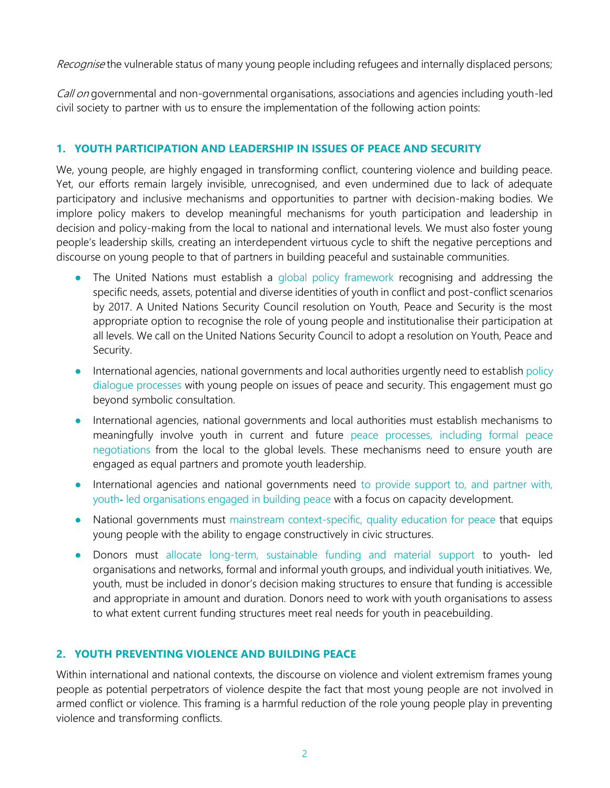Recognise the vulnerable status of many young people including refugees and internally displaced persons;

Call on governmental and non-governmental organisations, associations and agencies including youth-led civil society to partner with us to ensure the implementation of the following action points:

## **1. YOUTH PARTICIPATION AND LEADERSHIP IN ISSUES OF PEACE AND SECURITY**

We, young people, are highly engaged in transforming conflict, countering violence and building peace. Yet, our efforts remain largely invisible, unrecognised, and even undermined due to lack of adequate participatory and inclusive mechanisms and opportunities to partner with decision-making bodies. We implore policy makers to develop meaningful mechanisms for youth participation and leadership in decision and policy-making from the local to national and international levels. We must also foster young people's leadership skills, creating an interdependent virtuous cycle to shift the negative perceptions and discourse on young people to that of partners in building peaceful and sustainable communities.

- The United Nations must establish a global policy framework recognising and addressing the specific needs, assets, potential and diverse identities of youth in conflict and post-conflict scenarios by 2017. A United Nations Security Council resolution on Youth, Peace and Security is the most appropriate option to recognise the role of young people and institutionalise their participation at all levels. We call on the United Nations Security Council to adopt a resolution on Youth, Peace and Security.
- International agencies, national governments and local authorities urgently need to establish policy dialogue processes with young people on issues of peace and security. This engagement must go beyond symbolic consultation.
- International agencies, national governments and local authorities must establish mechanisms to meaningfully involve youth in current and future peace processes, including formal peace negotiations from the local to the global levels. These mechanisms need to ensure youth are engaged as equal partners and promote youth leadership.
- International agencies and national governments need to provide support to, and partner with, youth‐ led organisations engaged in building peace with a focus on capacity development.
- National governments must mainstream context-specific, quality education for peace that equips young people with the ability to engage constructively in civic structures.
- Donors must allocate long-term, sustainable funding and material support to youth- led organisations and networks, formal and informal youth groups, and individual youth initiatives. We, youth, must be included in donor's decision making structures to ensure that funding is accessible and appropriate in amount and duration. Donors need to work with youth organisations to assess to what extent current funding structures meet real needs for youth in peacebuilding.

## **2. YOUTH PREVENTING VIOLENCE AND BUILDING PEACE**

Within international and national contexts, the discourse on violence and violent extremism frames young people as potential perpetrators of violence despite the fact that most young people are not involved in armed conflict or violence. This framing is a harmful reduction of the role young people play in preventing violence and transforming conflicts.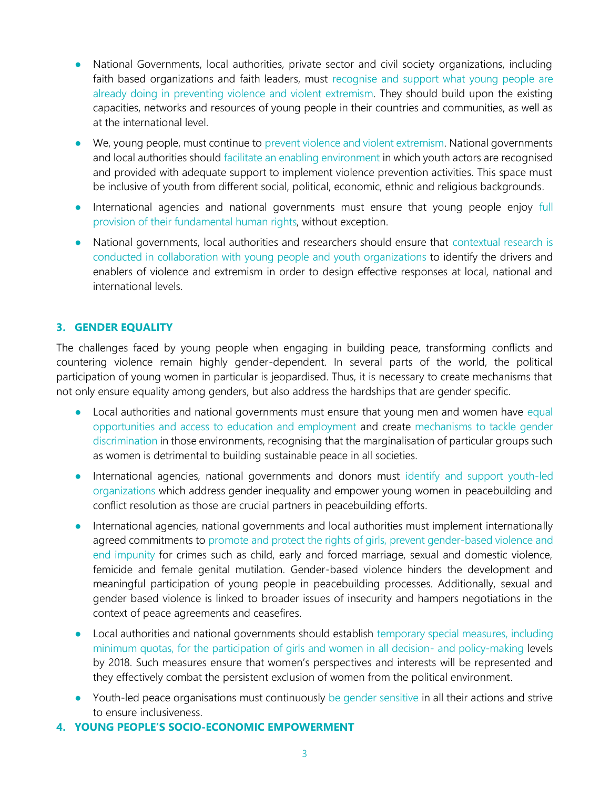- National Governments, local authorities, private sector and civil society organizations, including faith based organizations and faith leaders, must recognise and support what young people are already doing in preventing violence and violent extremism. They should build upon the existing capacities, networks and resources of young people in their countries and communities, as well as at the international level.
- We, young people, must continue to prevent violence and violent extremism. National governments and local authorities should facilitate an enabling environment in which youth actors are recognised and provided with adequate support to implement violence prevention activities. This space must be inclusive of youth from different social, political, economic, ethnic and religious backgrounds.
- International agencies and national governments must ensure that young people enjoy full provision of their fundamental human rights, without exception.
- National governments, local authorities and researchers should ensure that contextual research is conducted in collaboration with young people and youth organizations to identify the drivers and enablers of violence and extremism in order to design effective responses at local, national and international levels.

## **3. GENDER EQUALITY**

The challenges faced by young people when engaging in building peace, transforming conflicts and countering violence remain highly gender-dependent. In several parts of the world, the political participation of young women in particular is jeopardised. Thus, it is necessary to create mechanisms that not only ensure equality among genders, but also address the hardships that are gender specific.

- Local authorities and national governments must ensure that young men and women have equal opportunities and access to education and employment and create mechanisms to tackle gender discrimination in those environments, recognising that the marginalisation of particular groups such as women is detrimental to building sustainable peace in all societies.
- International agencies, national governments and donors must identify and support youth-led organizations which address gender inequality and empower young women in peacebuilding and conflict resolution as those are crucial partners in peacebuilding efforts.
- International agencies, national governments and local authorities must implement internationally agreed commitments to promote and protect the rights of girls, prevent gender-based violence and end impunity for crimes such as child, early and forced marriage, sexual and domestic violence, femicide and female genital mutilation. Gender-based violence hinders the development and meaningful participation of young people in peacebuilding processes. Additionally, sexual and gender based violence is linked to broader issues of insecurity and hampers negotiations in the context of peace agreements and ceasefires.
- Local authorities and national governments should establish temporary special measures, including minimum quotas, for the participation of girls and women in all decision- and policy-making levels by 2018. Such measures ensure that women's perspectives and interests will be represented and they effectively combat the persistent exclusion of women from the political environment.
- Youth-led peace organisations must continuously be gender sensitive in all their actions and strive to ensure inclusiveness.
- **4. YOUNG PEOPLE'S SOCIO-ECONOMIC EMPOWERMENT**